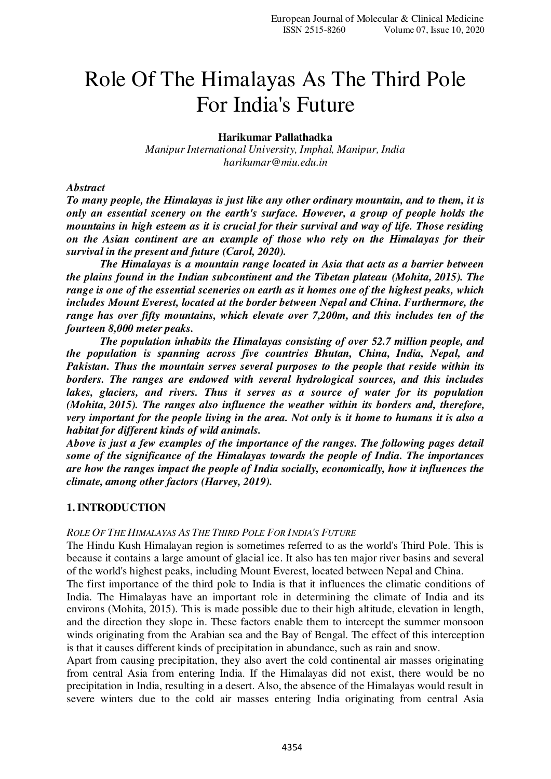# Role Of The Himalayas As The Third Pole For India's Future

**Harikumar Pallathadka** 

*Manipur International University, Imphal, Manipur, India harikumar@miu.edu.in* 

#### *Abstract*

*To many people, the Himalayas is just like any other ordinary mountain, and to them, it is only an essential scenery on the earth's surface. However, a group of people holds the mountains in high esteem as it is crucial for their survival and way of life. Those residing on the Asian continent are an example of those who rely on the Himalayas for their survival in the present and future (Carol, 2020).* 

 *The Himalayas is a mountain range located in Asia that acts as a barrier between the plains found in the Indian subcontinent and the Tibetan plateau (Mohita, 2015). The range is one of the essential sceneries on earth as it homes one of the highest peaks, which includes Mount Everest, located at the border between Nepal and China. Furthermore, the range has over fifty mountains, which elevate over 7,200m, and this includes ten of the fourteen 8,000 meter peaks.* 

 *The population inhabits the Himalayas consisting of over 52.7 million people, and the population is spanning across five countries Bhutan, China, India, Nepal, and Pakistan. Thus the mountain serves several purposes to the people that reside within its borders. The ranges are endowed with several hydrological sources, and this includes lakes, glaciers, and rivers. Thus it serves as a source of water for its population (Mohita, 2015). The ranges also influence the weather within its borders and, therefore, very important for the people living in the area. Not only is it home to humans it is also a habitat for different kinds of wild animals.* 

*Above is just a few examples of the importance of the ranges. The following pages detail some of the significance of the Himalayas towards the people of India. The importances are how the ranges impact the people of India socially, economically, how it influences the climate, among other factors (Harvey, 2019).* 

## **1.INTRODUCTION**

#### ROLE OF THE HIMALAYAS AS THE THIRD POLE FOR INDIA'S FUTURE

The Hindu Kush Himalayan region is sometimes referred to as the world's Third Pole. This is because it contains a large amount of glacial ice. It also has ten major river basins and several of the world's highest peaks, including Mount Everest, located between Nepal and China.

The first importance of the third pole to India is that it influences the climatic conditions of India. The Himalayas have an important role in determining the climate of India and its environs (Mohita, 2015). This is made possible due to their high altitude, elevation in length, and the direction they slope in. These factors enable them to intercept the summer monsoon winds originating from the Arabian sea and the Bay of Bengal. The effect of this interception is that it causes different kinds of precipitation in abundance, such as rain and snow.

Apart from causing precipitation, they also avert the cold continental air masses originating from central Asia from entering India. If the Himalayas did not exist, there would be no precipitation in India, resulting in a desert. Also, the absence of the Himalayas would result in severe winters due to the cold air masses entering India originating from central Asia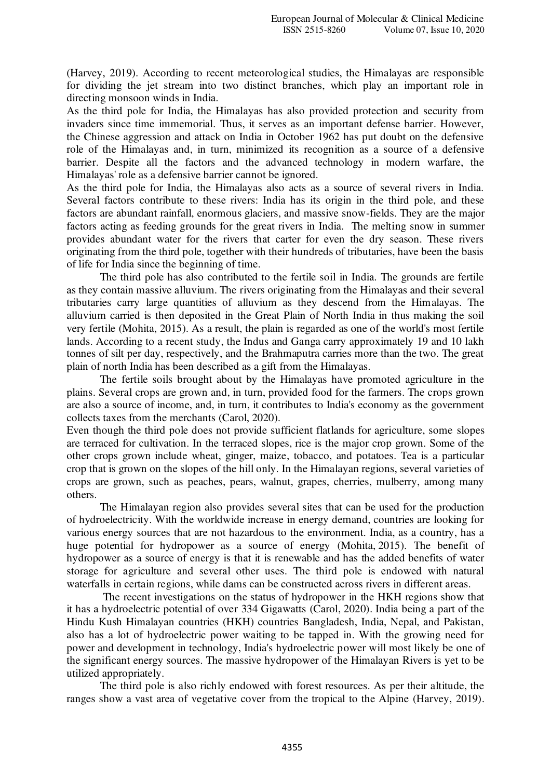(Harvey, 2019). According to recent meteorological studies, the Himalayas are responsible for dividing the jet stream into two distinct branches, which play an important role in directing monsoon winds in India.

As the third pole for India, the Himalayas has also provided protection and security from invaders since time immemorial. Thus, it serves as an important defense barrier. However, the Chinese aggression and attack on India in October 1962 has put doubt on the defensive role of the Himalayas and, in turn, minimized its recognition as a source of a defensive barrier. Despite all the factors and the advanced technology in modern warfare, the Himalayas' role as a defensive barrier cannot be ignored.

As the third pole for India, the Himalayas also acts as a source of several rivers in India. Several factors contribute to these rivers: India has its origin in the third pole, and these factors are abundant rainfall, enormous glaciers, and massive snow-fields. They are the major factors acting as feeding grounds for the great rivers in India. The melting snow in summer provides abundant water for the rivers that carter for even the dry season. These rivers originating from the third pole, together with their hundreds of tributaries, have been the basis of life for India since the beginning of time.

 The third pole has also contributed to the fertile soil in India. The grounds are fertile as they contain massive alluvium. The rivers originating from the Himalayas and their several tributaries carry large quantities of alluvium as they descend from the Himalayas. The alluvium carried is then deposited in the Great Plain of North India in thus making the soil very fertile (Mohita, 2015). As a result, the plain is regarded as one of the world's most fertile lands. According to a recent study, the Indus and Ganga carry approximately 19 and 10 lakh tonnes of silt per day, respectively, and the Brahmaputra carries more than the two. The great plain of north India has been described as a gift from the Himalayas.

 The fertile soils brought about by the Himalayas have promoted agriculture in the plains. Several crops are grown and, in turn, provided food for the farmers. The crops grown are also a source of income, and, in turn, it contributes to India's economy as the government collects taxes from the merchants (Carol, 2020).

Even though the third pole does not provide sufficient flatlands for agriculture, some slopes are terraced for cultivation. In the terraced slopes, rice is the major crop grown. Some of the other crops grown include wheat, ginger, maize, tobacco, and potatoes. Tea is a particular crop that is grown on the slopes of the hill only. In the Himalayan regions, several varieties of crops are grown, such as peaches, pears, walnut, grapes, cherries, mulberry, among many others.

 The Himalayan region also provides several sites that can be used for the production of hydroelectricity. With the worldwide increase in energy demand, countries are looking for various energy sources that are not hazardous to the environment. India, as a country, has a huge potential for hydropower as a source of energy (Mohita, 2015). The benefit of hydropower as a source of energy is that it is renewable and has the added benefits of water storage for agriculture and several other uses. The third pole is endowed with natural waterfalls in certain regions, while dams can be constructed across rivers in different areas.

 The recent investigations on the status of hydropower in the HKH regions show that it has a hydroelectric potential of over 334 Gigawatts (Carol, 2020). India being a part of the Hindu Kush Himalayan countries (HKH) countries Bangladesh, India, Nepal, and Pakistan, also has a lot of hydroelectric power waiting to be tapped in. With the growing need for power and development in technology, India's hydroelectric power will most likely be one of the significant energy sources. The massive hydropower of the Himalayan Rivers is yet to be utilized appropriately.

 The third pole is also richly endowed with forest resources. As per their altitude, the ranges show a vast area of vegetative cover from the tropical to the Alpine (Harvey, 2019).